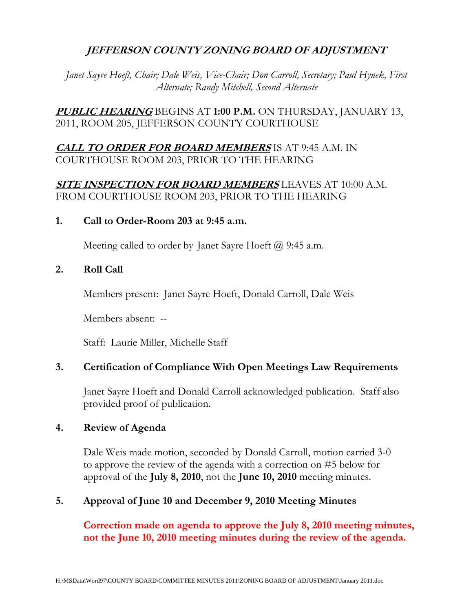# **JEFFERSON COUNTY ZONING BOARD OF ADJUSTMENT**

*Janet Sayre Hoeft, Chair; Dale Weis, Vice-Chair; Don Carroll, Secretary; Paul Hynek, First Alternate; Randy Mitchell, Second Alternate* 

**PUBLIC HEARING** BEGINS AT **1:00 P.M.** ON THURSDAY, JANUARY 13, 2011, ROOM 205, JEFFERSON COUNTY COURTHOUSE

# **CALL TO ORDER FOR BOARD MEMBERS** IS AT 9:45 A.M. IN COURTHOUSE ROOM 203, PRIOR TO THE HEARING

# **SITE INSPECTION FOR BOARD MEMBERS** LEAVES AT 10:00 A.M. FROM COURTHOUSE ROOM 203, PRIOR TO THE HEARING

### **1. Call to Order-Room 203 at 9:45 a.m.**

Meeting called to order by Janet Sayre Hoeft  $\omega$  9:45 a.m.

### **2. Roll Call**

Members present: Janet Sayre Hoeft, Donald Carroll, Dale Weis

Members absent: --

Staff: Laurie Miller, Michelle Staff

# **3. Certification of Compliance With Open Meetings Law Requirements**

Janet Sayre Hoeft and Donald Carroll acknowledged publication. Staff also provided proof of publication.

### **4. Review of Agenda**

 Dale Weis made motion, seconded by Donald Carroll, motion carried 3-0 to approve the review of the agenda with a correction on #5 below for approval of the **July 8, 2010**, not the **June 10, 2010** meeting minutes.

# **5. Approval of June 10 and December 9, 2010 Meeting Minutes**

**Correction made on agenda to approve the July 8, 2010 meeting minutes, not the June 10, 2010 meeting minutes during the review of the agenda.**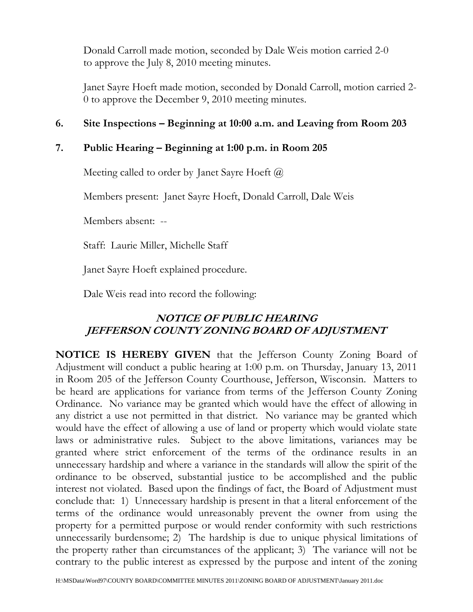Donald Carroll made motion, seconded by Dale Weis motion carried 2-0 to approve the July 8, 2010 meeting minutes.

 Janet Sayre Hoeft made motion, seconded by Donald Carroll, motion carried 2- 0 to approve the December 9, 2010 meeting minutes.

# **6. Site Inspections – Beginning at 10:00 a.m. and Leaving from Room 203**

# **7. Public Hearing – Beginning at 1:00 p.m. in Room 205**

Meeting called to order by Janet Sayre Hoeft @

Members present: Janet Sayre Hoeft, Donald Carroll, Dale Weis

Members absent: --

Staff: Laurie Miller, Michelle Staff

Janet Sayre Hoeft explained procedure.

Dale Weis read into record the following:

# **NOTICE OF PUBLIC HEARING JEFFERSON COUNTY ZONING BOARD OF ADJUSTMENT**

**NOTICE IS HEREBY GIVEN** that the Jefferson County Zoning Board of Adjustment will conduct a public hearing at 1:00 p.m. on Thursday, January 13, 2011 in Room 205 of the Jefferson County Courthouse, Jefferson, Wisconsin. Matters to be heard are applications for variance from terms of the Jefferson County Zoning Ordinance. No variance may be granted which would have the effect of allowing in any district a use not permitted in that district. No variance may be granted which would have the effect of allowing a use of land or property which would violate state laws or administrative rules. Subject to the above limitations, variances may be granted where strict enforcement of the terms of the ordinance results in an unnecessary hardship and where a variance in the standards will allow the spirit of the ordinance to be observed, substantial justice to be accomplished and the public interest not violated. Based upon the findings of fact, the Board of Adjustment must conclude that: 1) Unnecessary hardship is present in that a literal enforcement of the terms of the ordinance would unreasonably prevent the owner from using the property for a permitted purpose or would render conformity with such restrictions unnecessarily burdensome; 2) The hardship is due to unique physical limitations of the property rather than circumstances of the applicant; 3) The variance will not be contrary to the public interest as expressed by the purpose and intent of the zoning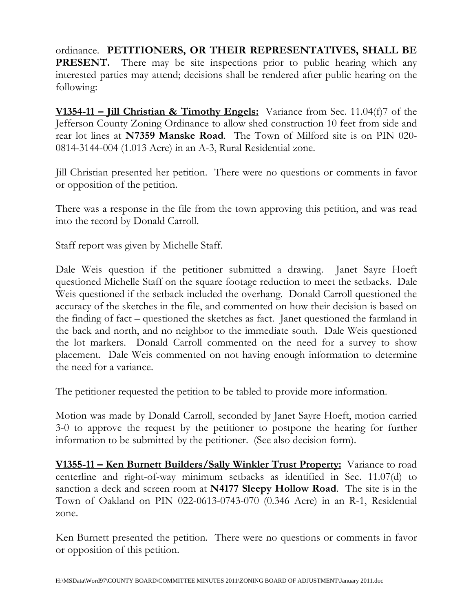ordinance. **PETITIONERS, OR THEIR REPRESENTATIVES, SHALL BE PRESENT.** There may be site inspections prior to public hearing which any interested parties may attend; decisions shall be rendered after public hearing on the following:

**V1354-11 – Jill Christian & Timothy Engels:** Variance from Sec. 11.04(f)7 of the Jefferson County Zoning Ordinance to allow shed construction 10 feet from side and rear lot lines at **N7359 Manske Road**. The Town of Milford site is on PIN 020- 0814-3144-004 (1.013 Acre) in an A-3, Rural Residential zone.

Jill Christian presented her petition. There were no questions or comments in favor or opposition of the petition.

There was a response in the file from the town approving this petition, and was read into the record by Donald Carroll.

Staff report was given by Michelle Staff.

Dale Weis question if the petitioner submitted a drawing. Janet Sayre Hoeft questioned Michelle Staff on the square footage reduction to meet the setbacks. Dale Weis questioned if the setback included the overhang. Donald Carroll questioned the accuracy of the sketches in the file, and commented on how their decision is based on the finding of fact – questioned the sketches as fact. Janet questioned the farmland in the back and north, and no neighbor to the immediate south. Dale Weis questioned the lot markers. Donald Carroll commented on the need for a survey to show placement. Dale Weis commented on not having enough information to determine the need for a variance.

The petitioner requested the petition to be tabled to provide more information.

Motion was made by Donald Carroll, seconded by Janet Sayre Hoeft, motion carried 3-0 to approve the request by the petitioner to postpone the hearing for further information to be submitted by the petitioner. (See also decision form).

**V1355-11 – Ken Burnett Builders/Sally Winkler Trust Property:** Variance to road centerline and right-of-way minimum setbacks as identified in Sec. 11.07(d) to sanction a deck and screen room at **N4177 Sleepy Hollow Road**. The site is in the Town of Oakland on PIN 022-0613-0743-070 (0.346 Acre) in an R-1, Residential zone.

Ken Burnett presented the petition. There were no questions or comments in favor or opposition of this petition.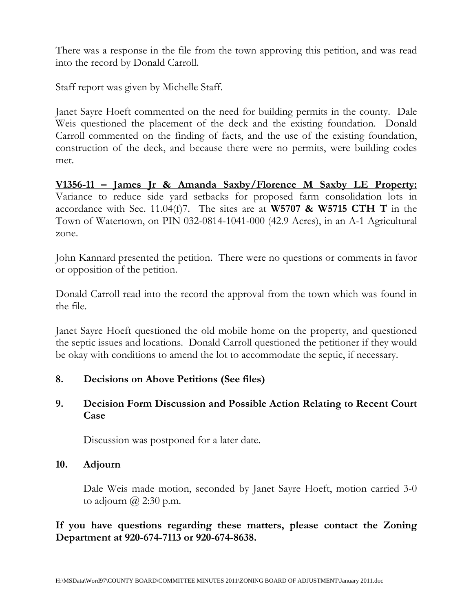There was a response in the file from the town approving this petition, and was read into the record by Donald Carroll.

Staff report was given by Michelle Staff.

Janet Sayre Hoeft commented on the need for building permits in the county. Dale Weis questioned the placement of the deck and the existing foundation. Donald Carroll commented on the finding of facts, and the use of the existing foundation, construction of the deck, and because there were no permits, were building codes met.

**V1356-11 – James Jr & Amanda Saxby/Florence M Saxby LE Property:** Variance to reduce side yard setbacks for proposed farm consolidation lots in accordance with Sec. 11.04(f)7. The sites are at **W5707 & W5715 CTH T** in the Town of Watertown, on PIN 032-0814-1041-000 (42.9 Acres), in an A-1 Agricultural zone.

John Kannard presented the petition. There were no questions or comments in favor or opposition of the petition.

Donald Carroll read into the record the approval from the town which was found in the file.

Janet Sayre Hoeft questioned the old mobile home on the property, and questioned the septic issues and locations. Donald Carroll questioned the petitioner if they would be okay with conditions to amend the lot to accommodate the septic, if necessary.

# **8. Decisions on Above Petitions (See files)**

# **9. Decision Form Discussion and Possible Action Relating to Recent Court Case**

Discussion was postponed for a later date.

# **10. Adjourn**

Dale Weis made motion, seconded by Janet Sayre Hoeft, motion carried 3-0 to adjourn  $\omega$  2:30 p.m.

# **If you have questions regarding these matters, please contact the Zoning Department at 920-674-7113 or 920-674-8638.**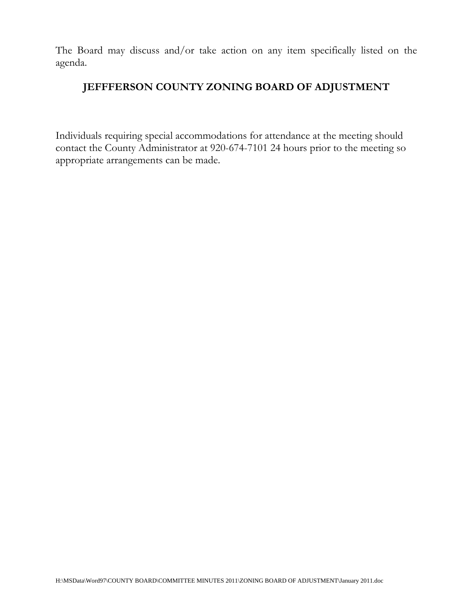The Board may discuss and/or take action on any item specifically listed on the agenda.

# **JEFFFERSON COUNTY ZONING BOARD OF ADJUSTMENT**

Individuals requiring special accommodations for attendance at the meeting should contact the County Administrator at 920-674-7101 24 hours prior to the meeting so appropriate arrangements can be made.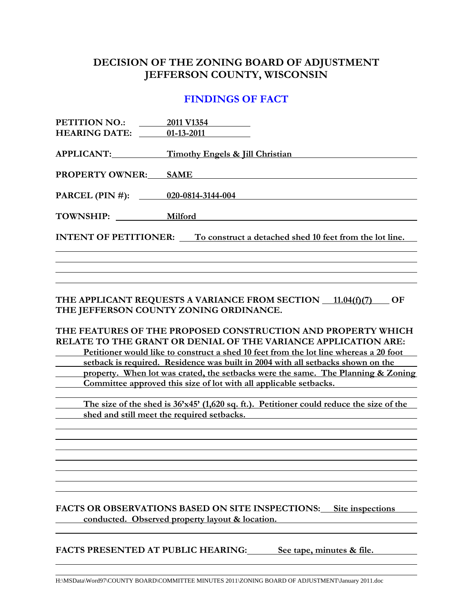# **DECISION OF THE ZONING BOARD OF ADJUSTMENT JEFFERSON COUNTY, WISCONSIN**

### **FINDINGS OF FACT**

| PETITION NO.: 2011 V1354                                                             |                                                                        |  |
|--------------------------------------------------------------------------------------|------------------------------------------------------------------------|--|
| <b>HEARING DATE:</b> 01-13-2011                                                      |                                                                        |  |
|                                                                                      | APPLICANT: Timothy Engels & Jill Christian                             |  |
|                                                                                      | <b>PROPERTY OWNER:</b> SAME                                            |  |
|                                                                                      | PARCEL (PIN #): 020-0814-3144-004                                      |  |
|                                                                                      | TOWNSHIP: Milford                                                      |  |
| <b>INTENT OF PETITIONER:</b> To construct a detached shed 10 feet from the lot line. |                                                                        |  |
|                                                                                      |                                                                        |  |
|                                                                                      |                                                                        |  |
|                                                                                      | THE APPLICANT REQUESTS A VARIANCE FROM SECTION<br>OF.<br>11 $04(f)(7)$ |  |

**THE APPLICANT REQUESTS A VARIANCE FROM SECTION 11.04(f)(7) OF THE JEFFERSON COUNTY ZONING ORDINANCE.** 

**THE FEATURES OF THE PROPOSED CONSTRUCTION AND PROPERTY WHICH RELATE TO THE GRANT OR DENIAL OF THE VARIANCE APPLICATION ARE: Petitioner would like to construct a shed 10 feet from the lot line whereas a 20 foot <u>setback is required. Residence was built in 2004 with all setbacks shown on the</u> property. When lot was crated, the setbacks were the same. The Planning & Zoning Committee approved this size of lot with all applicable setbacks.** 

 **The size of the shed is 36'x45' (1,620 sq. ft.). Petitioner could reduce the size of the shed and still meet the required setbacks.** 

**FACTS OR OBSERVATIONS BASED ON SITE INSPECTIONS: Site inspections**  *conducted.* **Observed property layout & location.** 

FACTS PRESENTED AT PUBLIC HEARING: See tape, minutes & file.

H:\MSData\Word97\COUNTY BOARD\COMMITTEE MINUTES 2011\ZONING BOARD OF ADJUSTMENT\January 2011.doc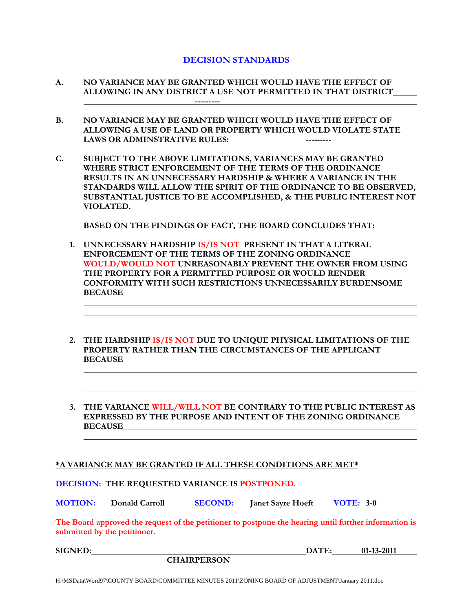### **DECISION STANDARDS**

- **A. NO VARIANCE MAY BE GRANTED WHICH WOULD HAVE THE EFFECT OF ALLOWING IN ANY DISTRICT A USE NOT PERMITTED IN THAT DISTRICT ---------**
- **B. NO VARIANCE MAY BE GRANTED WHICH WOULD HAVE THE EFFECT OF ALLOWING A USE OF LAND OR PROPERTY WHICH WOULD VIOLATE STATE LAWS OR ADMINSTRATIVE RULES: ---------**
- **C. SUBJECT TO THE ABOVE LIMITATIONS, VARIANCES MAY BE GRANTED WHERE STRICT ENFORCEMENT OF THE TERMS OF THE ORDINANCE RESULTS IN AN UNNECESSARY HARDSHIP & WHERE A VARIANCE IN THE STANDARDS WILL ALLOW THE SPIRIT OF THE ORDINANCE TO BE OBSERVED, SUBSTANTIAL JUSTICE TO BE ACCOMPLISHED, & THE PUBLIC INTEREST NOT VIOLATED.**

 **BASED ON THE FINDINGS OF FACT, THE BOARD CONCLUDES THAT:** 

- **1. UNNECESSARY HARDSHIP IS/IS NOT PRESENT IN THAT A LITERAL ENFORCEMENT OF THE TERMS OF THE ZONING ORDINANCE WOULD/WOULD NOT UNREASONABLY PREVENT THE OWNER FROM USING THE PROPERTY FOR A PERMITTED PURPOSE OR WOULD RENDER CONFORMITY WITH SUCH RESTRICTIONS UNNECESSARILY BURDENSOME BECAUSE**
- **2. THE HARDSHIP IS/IS NOT DUE TO UNIQUE PHYSICAL LIMITATIONS OF THE PROPERTY RATHER THAN THE CIRCUMSTANCES OF THE APPLICANT BECAUSE**
- **3. THE VARIANCE WILL/WILL NOT BE CONTRARY TO THE PUBLIC INTEREST AS EXPRESSED BY THE PURPOSE AND INTENT OF THE ZONING ORDINANCE BECAUSE**

#### **\*A VARIANCE MAY BE GRANTED IF ALL THESE CONDITIONS ARE MET\***

**DECISION: THE REQUESTED VARIANCE IS POSTPONED.** 

**MOTION: Donald Carroll SECOND: Janet Sayre Hoeft VOTE: 3-0**

**The Board approved the request of the petitioner to postpone the hearing until further information is submitted by the petitioner.** 

 **CHAIRPERSON** 

**SIGNED: DATE: 01-13-2011**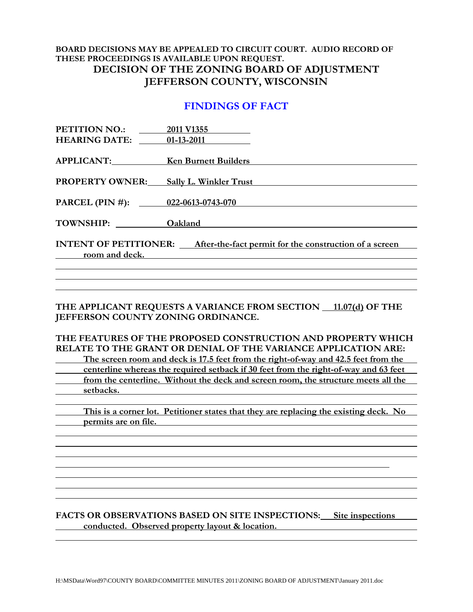### **BOARD DECISIONS MAY BE APPEALED TO CIRCUIT COURT. AUDIO RECORD OF THESE PROCEEDINGS IS AVAILABLE UPON REQUEST. DECISION OF THE ZONING BOARD OF ADJUSTMENT JEFFERSON COUNTY, WISCONSIN**

### **FINDINGS OF FACT**

| PETITION NO.:                                                                       | 2011 V1355                    |  |
|-------------------------------------------------------------------------------------|-------------------------------|--|
| <b>HEARING DATE:</b>                                                                | $01-13-2011$                  |  |
|                                                                                     |                               |  |
| APPLICANT: Ken Burnett Builders                                                     |                               |  |
|                                                                                     |                               |  |
| <b>PROPERTY OWNER:</b>                                                              | <b>Sally L. Winkler Trust</b> |  |
|                                                                                     |                               |  |
| PARCEL (PIN #): 022-0613-0743-070                                                   |                               |  |
|                                                                                     |                               |  |
| TOWNSHIP:                                                                           | Oakland                       |  |
|                                                                                     |                               |  |
| <b>INTENT OF PETITIONER:</b> After-the-fact permit for the construction of a screen |                               |  |
| room and deck.                                                                      |                               |  |
|                                                                                     |                               |  |

THE APPLICANT REQUESTS A VARIANCE FROM SECTION 11.07(d) OF THE **JEFFERSON COUNTY ZONING ORDINANCE.** 

**THE FEATURES OF THE PROPOSED CONSTRUCTION AND PROPERTY WHICH RELATE TO THE GRANT OR DENIAL OF THE VARIANCE APPLICATION ARE: The screen room and deck is 17.5 feet from the right-of-way and 42.5 feet from the centerline whereas the required setback if 30 feet from the right-of-way and 63 feet from the centerline. Without the deck and screen room, the structure meets all the setbacks.** 

 **This is a corner lot. Petitioner states that they are replacing the existing deck. No permits are on file.**   *permits are on file.* 

### **FACTS OR OBSERVATIONS BASED ON SITE INSPECTIONS: Site inspections conducted. Observed property layout & location.**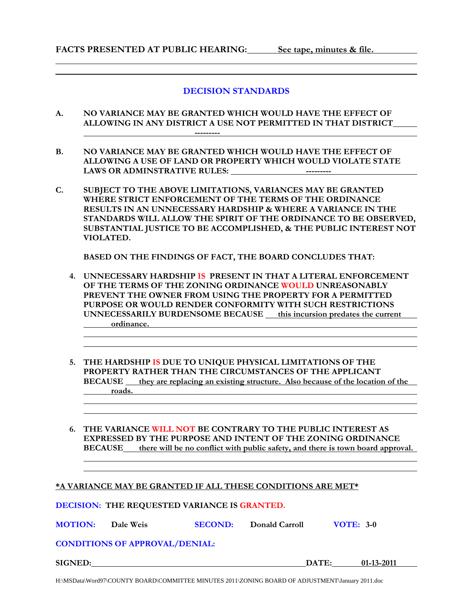### **DECISION STANDARDS**

**A. NO VARIANCE MAY BE GRANTED WHICH WOULD HAVE THE EFFECT OF ALLOWING IN ANY DISTRICT A USE NOT PERMITTED IN THAT DISTRICT** 

 **---------** 

- **B. NO VARIANCE MAY BE GRANTED WHICH WOULD HAVE THE EFFECT OF ALLOWING A USE OF LAND OR PROPERTY WHICH WOULD VIOLATE STATE LAWS OR ADMINSTRATIVE RULES: ---------**
- **C. SUBJECT TO THE ABOVE LIMITATIONS, VARIANCES MAY BE GRANTED WHERE STRICT ENFORCEMENT OF THE TERMS OF THE ORDINANCE RESULTS IN AN UNNECESSARY HARDSHIP & WHERE A VARIANCE IN THE STANDARDS WILL ALLOW THE SPIRIT OF THE ORDINANCE TO BE OBSERVED, SUBSTANTIAL JUSTICE TO BE ACCOMPLISHED, & THE PUBLIC INTEREST NOT VIOLATED.**

 **BASED ON THE FINDINGS OF FACT, THE BOARD CONCLUDES THAT:** 

- **4. UNNECESSARY HARDSHIP IS PRESENT IN THAT A LITERAL ENFORCEMENT OF THE TERMS OF THE ZONING ORDINANCE WOULD UNREASONABLY PREVENT THE OWNER FROM USING THE PROPERTY FOR A PERMITTED PURPOSE OR WOULD RENDER CONFORMITY WITH SUCH RESTRICTIONS UNNECESSARILY BURDENSOME BECAUSE \_\_ this incursion predates the current \_\_\_ ordinance.**
- **5. THE HARDSHIP IS DUE TO UNIQUE PHYSICAL LIMITATIONS OF THE PROPERTY RATHER THAN THE CIRCUMSTANCES OF THE APPLICANT BECAUSE they are replacing an existing structure. Also because of the location of the**  *roads. <u>roads.</u>*
- **6. THE VARIANCE WILL NOT BE CONTRARY TO THE PUBLIC INTEREST AS EXPRESSED BY THE PURPOSE AND INTENT OF THE ZONING ORDINANCE BECAUSE** there will be no conflict with public safety, and there is town board approval.

### **\*A VARIANCE MAY BE GRANTED IF ALL THESE CONDITIONS ARE MET\***

#### **DECISION: THE REQUESTED VARIANCE IS GRANTED.**

**MOTION: Dale Weis SECOND: Donald Carroll VOTE: 3-0**

### **CONDITIONS OF APPROVAL/DENIAL:**

**SIGNED:** DATE: 01-13-2011

H:\MSData\Word97\COUNTY BOARD\COMMITTEE MINUTES 2011\ZONING BOARD OF ADJUSTMENT\January 2011.doc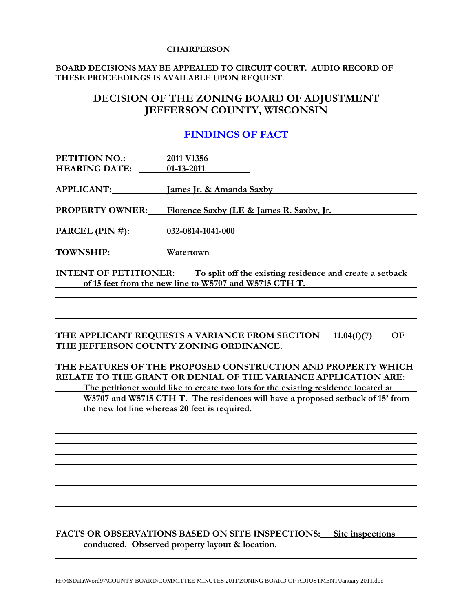#### **CHAIRPERSON**

### **BOARD DECISIONS MAY BE APPEALED TO CIRCUIT COURT. AUDIO RECORD OF THESE PROCEEDINGS IS AVAILABLE UPON REQUEST.**

### **DECISION OF THE ZONING BOARD OF ADJUSTMENT JEFFERSON COUNTY, WISCONSIN**

### **FINDINGS OF FACT**

| PETITION NO.:<br><b>HEARING DATE:</b> 01-13-2011                                                                                                | 2011 V1356                                               |  |
|-------------------------------------------------------------------------------------------------------------------------------------------------|----------------------------------------------------------|--|
|                                                                                                                                                 | APPLICANT: James Jr. & Amanda Saxby                      |  |
|                                                                                                                                                 | PROPERTY OWNER: Florence Saxby (LE & James R. Saxby, Jr. |  |
| PARCEL (PIN #): $032-0814-1041-000$                                                                                                             |                                                          |  |
|                                                                                                                                                 |                                                          |  |
| TOWNSHIP: Watertown                                                                                                                             |                                                          |  |
| <b>INTENT OF PETITIONER:</b> To split off the existing residence and create a setback<br>of 15 feet from the new line to W5707 and W5715 CTH T. |                                                          |  |

### THE APPLICANT REQUESTS A VARIANCE FROM SECTION 11.04(f)(7) OF **THE JEFFERSON COUNTY ZONING ORDINANCE.**

**THE FEATURES OF THE PROPOSED CONSTRUCTION AND PROPERTY WHICH RELATE TO THE GRANT OR DENIAL OF THE VARIANCE APPLICATION ARE:** 

 **The petitioner would like to create two lots for the existing residence located at W5707 and W5715 CTH T. The residences will have a proposed setback of 15' from the new lot line whereas 20 feet is required.** 

### FACTS OR OBSERVATIONS BASED ON SITE INSPECTIONS: Site inspections  **conducted. Observed property layout & location.**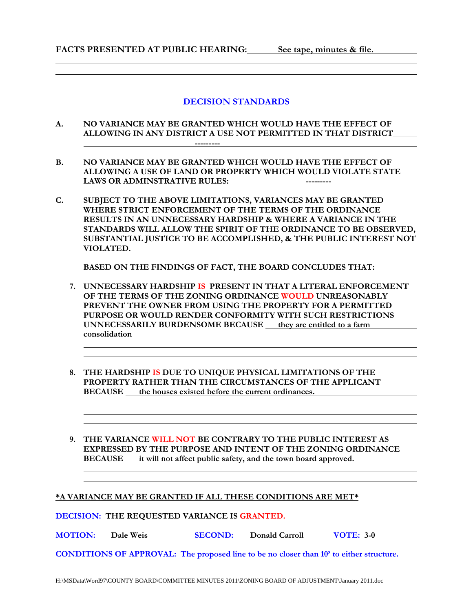### **DECISION STANDARDS**

- **A. NO VARIANCE MAY BE GRANTED WHICH WOULD HAVE THE EFFECT OF ALLOWING IN ANY DISTRICT A USE NOT PERMITTED IN THAT DISTRICT ---------**
- **B. NO VARIANCE MAY BE GRANTED WHICH WOULD HAVE THE EFFECT OF ALLOWING A USE OF LAND OR PROPERTY WHICH WOULD VIOLATE STATE LAWS OR ADMINSTRATIVE RULES: ---------**
- **C. SUBJECT TO THE ABOVE LIMITATIONS, VARIANCES MAY BE GRANTED WHERE STRICT ENFORCEMENT OF THE TERMS OF THE ORDINANCE RESULTS IN AN UNNECESSARY HARDSHIP & WHERE A VARIANCE IN THE STANDARDS WILL ALLOW THE SPIRIT OF THE ORDINANCE TO BE OBSERVED, SUBSTANTIAL JUSTICE TO BE ACCOMPLISHED, & THE PUBLIC INTEREST NOT VIOLATED.**

 **BASED ON THE FINDINGS OF FACT, THE BOARD CONCLUDES THAT:** 

- **7. UNNECESSARY HARDSHIP IS PRESENT IN THAT A LITERAL ENFORCEMENT OF THE TERMS OF THE ZONING ORDINANCE WOULD UNREASONABLY PREVENT THE OWNER FROM USING THE PROPERTY FOR A PERMITTED PURPOSE OR WOULD RENDER CONFORMITY WITH SUCH RESTRICTIONS UNNECESSARILY BURDENSOME BECAUSE they are entitled to a farm consolidation**
- **8. THE HARDSHIP IS DUE TO UNIQUE PHYSICAL LIMITATIONS OF THE PROPERTY RATHER THAN THE CIRCUMSTANCES OF THE APPLICANT BECAUSE the houses existed before the current ordinances.**
- **9. THE VARIANCE WILL NOT BE CONTRARY TO THE PUBLIC INTEREST AS EXPRESSED BY THE PURPOSE AND INTENT OF THE ZONING ORDINANCE BECAUSE it will not affect public safety, and the town board approved.**  <u> 1989 - Johann Stoff, amerikansk politiker (d. 1989)</u>

### **\*A VARIANCE MAY BE GRANTED IF ALL THESE CONDITIONS ARE MET\***

**DECISION: THE REQUESTED VARIANCE IS GRANTED.** 

**MOTION: Dale Weis SECOND: Donald Carroll VOTE: 3-0** 

**CONDITIONS OF APPROVAL: The proposed line to be no closer than 10' to either structure.**